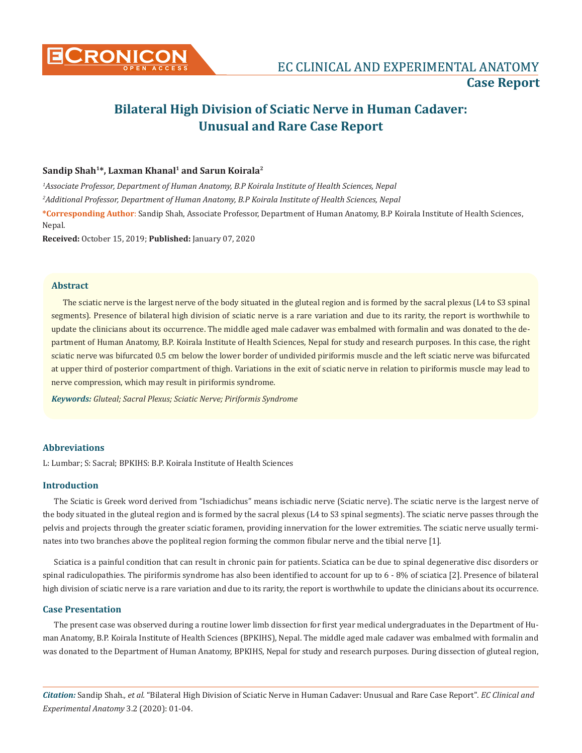

# **Bilateral High Division of Sciatic Nerve in Human Cadaver: Unusual and Rare Case Report**

## Sandip Shah<sup>1\*</sup>, Laxman Khanal<sup>1</sup> and Sarun Koirala<sup>2</sup>

*1 Associate Professor, Department of Human Anatomy, B.P Koirala Institute of Health Sciences, Nepal 2 Additional Professor, Department of Human Anatomy, B.P Koirala Institute of Health Sciences, Nepal* **\*Corresponding Author**: Sandip Shah, Associate Professor, Department of Human Anatomy, B.P Koirala Institute of Health Sciences, Nepal.

**Received:** October 15, 2019; **Published:** January 07, 2020

#### **Abstract**

The sciatic nerve is the largest nerve of the body situated in the gluteal region and is formed by the sacral plexus (L4 to S3 spinal segments). Presence of bilateral high division of sciatic nerve is a rare variation and due to its rarity, the report is worthwhile to update the clinicians about its occurrence. The middle aged male cadaver was embalmed with formalin and was donated to the department of Human Anatomy, B.P. Koirala Institute of Health Sciences, Nepal for study and research purposes. In this case, the right sciatic nerve was bifurcated 0.5 cm below the lower border of undivided piriformis muscle and the left sciatic nerve was bifurcated at upper third of posterior compartment of thigh. Variations in the exit of sciatic nerve in relation to piriformis muscle may lead to nerve compression, which may result in piriformis syndrome.

*Keywords: Gluteal; Sacral Plexus; Sciatic Nerve; Piriformis Syndrome*

## **Abbreviations**

L: Lumbar; S: Sacral; BPKIHS: B.P. Koirala Institute of Health Sciences

## **Introduction**

The Sciatic is Greek word derived from "Ischiadichus" means ischiadic nerve (Sciatic nerve). The sciatic nerve is the largest nerve of the body situated in the gluteal region and is formed by the sacral plexus (L4 to S3 spinal segments). The sciatic nerve passes through the pelvis and projects through the greater sciatic foramen, providing innervation for the lower extremities. The sciatic nerve usually terminates into two branches above the popliteal region forming the common fibular nerve and the tibial nerve [1].

Sciatica is a painful condition that can result in chronic pain for patients. Sciatica can be due to spinal degenerative disc disorders or spinal radiculopathies. The piriformis syndrome has also been identified to account for up to 6 - 8% of sciatica [2]. Presence of bilateral high division of sciatic nerve is a rare variation and due to its rarity, the report is worthwhile to update the clinicians about its occurrence.

#### **Case Presentation**

The present case was observed during a routine lower limb dissection for first year medical undergraduates in the Department of Human Anatomy, B.P. Koirala Institute of Health Sciences (BPKIHS), Nepal. The middle aged male cadaver was embalmed with formalin and was donated to the Department of Human Anatomy, BPKIHS, Nepal for study and research purposes. During dissection of gluteal region,

*Citation:* Sandip Shah*., et al.* "Bilateral High Division of Sciatic Nerve in Human Cadaver: Unusual and Rare Case Report". *EC Clinical and Experimental Anatomy* 3.2 (2020): 01-04.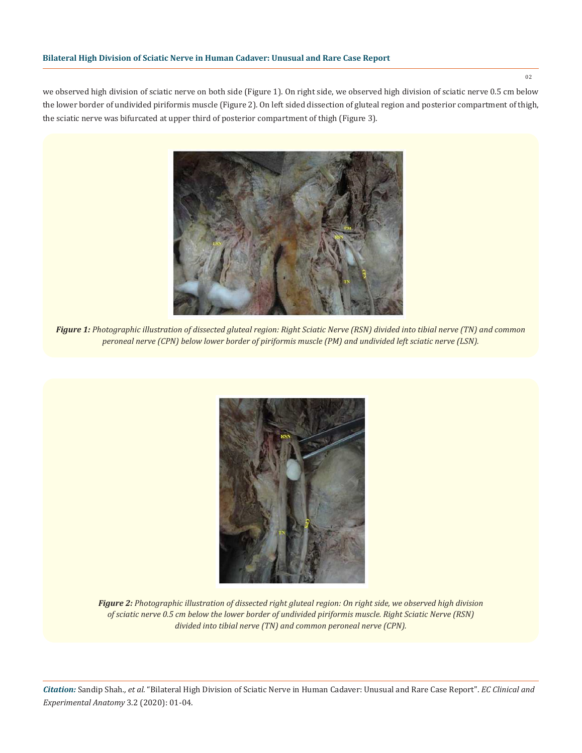we observed high division of sciatic nerve on both side (Figure 1). On right side, we observed high division of sciatic nerve 0.5 cm below the lower border of undivided piriformis muscle (Figure 2). On left sided dissection of gluteal region and posterior compartment of thigh, the sciatic nerve was bifurcated at upper third of posterior compartment of thigh (Figure 3).



*Figure 1: Photographic illustration of dissected gluteal region: Right Sciatic Nerve (RSN) divided into tibial nerve (TN) and common peroneal nerve (CPN) below lower border of piriformis muscle (PM) and undivided left sciatic nerve (LSN).*



*Figure 2: Photographic illustration of dissected right gluteal region: On right side, we observed high division of sciatic nerve 0.5 cm below the lower border of undivided piriformis muscle. Right Sciatic Nerve (RSN) divided into tibial nerve (TN) and common peroneal nerve (CPN).*

*Citation:* Sandip Shah*., et al.* "Bilateral High Division of Sciatic Nerve in Human Cadaver: Unusual and Rare Case Report". *EC Clinical and Experimental Anatomy* 3.2 (2020): 01-04.

02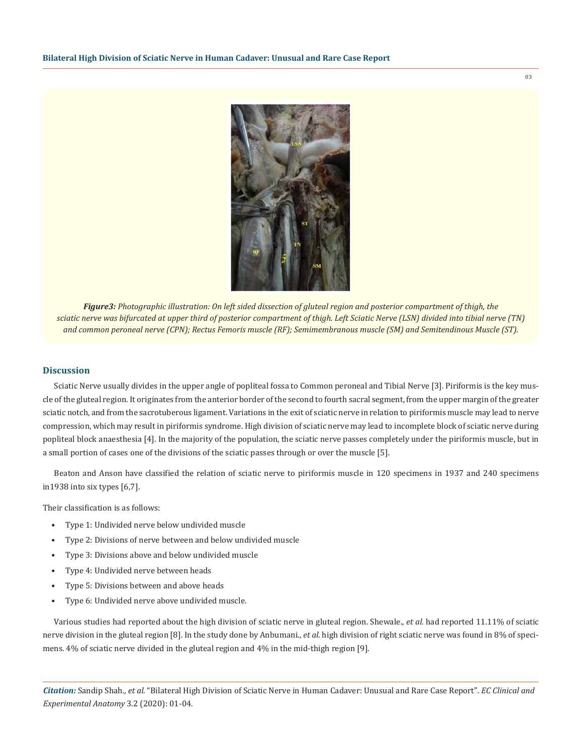

*Figure3: Photographic illustration: On left sided dissection of gluteal region and posterior compartment of thigh, the sciatic nerve was bifurcated at upper third of posterior compartment of thigh. Left Sciatic Nerve (LSN) divided into tibial nerve (TN) and common peroneal nerve (CPN); Rectus Femoris muscle (RF); Semimembranous muscle (SM) and Semitendinous Muscle (ST).*

#### **Discussion**

Sciatic Nerve usually divides in the upper angle of popliteal fossa to Common peroneal and Tibial Nerve [3]. Piriformis is the key muscle of the gluteal region. It originates from the anterior border of the second to fourth sacral segment, from the upper margin of the greater sciatic notch, and from the sacrotuberous ligament. Variations in the exit of sciatic nerve in relation to piriformis muscle may lead to nerve compression, which may result in piriformis syndrome. High division of sciatic nerve may lead to incomplete block of sciatic nerve during popliteal block anaesthesia [4]. In the majority of the population, the sciatic nerve passes completely under the piriformis muscle, but in a small portion of cases one of the divisions of the sciatic passes through or over the muscle [5].

Beaton and Anson have classified the relation of sciatic nerve to piriformis muscle in 120 specimens in 1937 and 240 specimens in1938 into six types [6,7].

Their classification is as follows:

- Type 1: Undivided nerve below undivided muscle
- Type 2: Divisions of nerve between and below undivided muscle
- Type 3: Divisions above and below undivided muscle
- Type 4: Undivided nerve between heads
- Type 5: Divisions between and above heads
- Type 6: Undivided nerve above undivided muscle.

Various studies had reported about the high division of sciatic nerve in gluteal region. Shewale., *et al.* had reported 11.11% of sciatic nerve division in the gluteal region [8]. In the study done by Anbumani., *et al.* high division of right sciatic nerve was found in 8% of specimens. 4% of sciatic nerve divided in the gluteal region and 4% in the mid-thigh region [9].

03